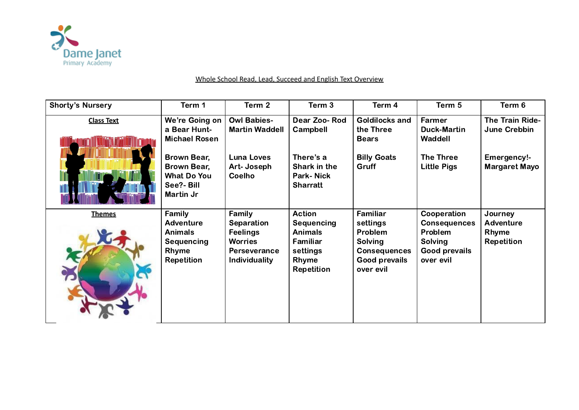

| <b>Shorty's Nursery</b> | Term 1                                                                                                                                | Term 2                                                                                                   | Term 3                                                                                              | Term 4                                                                                          | Term 5                                                                                        | Term 6                                                                 |
|-------------------------|---------------------------------------------------------------------------------------------------------------------------------------|----------------------------------------------------------------------------------------------------------|-----------------------------------------------------------------------------------------------------|-------------------------------------------------------------------------------------------------|-----------------------------------------------------------------------------------------------|------------------------------------------------------------------------|
| <b>Class Text</b>       | We're Going on<br>a Bear Hunt-<br><b>Michael Rosen</b><br>Brown Bear,<br>Brown Bear,<br><b>What Do You</b><br>See?- Bill<br>Martin Jr | <b>Owl Babies-</b><br><b>Martin Waddell</b><br><b>Luna Loves</b><br>Art-Joseph<br><b>Coelho</b>          | Dear Zoo-Rod<br>Campbell<br>There's a<br>Shark in the<br><b>Park-Nick</b><br><b>Sharratt</b>        | <b>Goldilocks and</b><br>the Three<br><b>Bears</b><br><b>Billy Goats</b><br>Gruff               | Farmer<br><b>Duck-Martin</b><br>Waddell<br>The Three<br><b>Little Pigs</b>                    | The Train Ride-<br>June Crebbin<br>Emergency!-<br><b>Margaret Mayo</b> |
| <b>Themes</b>           | Family<br>Adventure<br><b>Animals</b><br>Sequencing<br>Rhyme<br><b>Repetition</b>                                                     | Family<br>Separation<br><b>Feelings</b><br><b>Worries</b><br><b>Perseverance</b><br><b>Individuality</b> | <b>Action</b><br>Sequencing<br><b>Animals</b><br>Familiar<br>settings<br>Rhyme<br><b>Repetition</b> | Familiar<br>settings<br>Problem<br>Solving<br><b>Consequences</b><br>Good prevails<br>over evil | Cooperation<br><b>Consequences</b><br>Problem<br>Solving<br><b>Good prevails</b><br>over evil | Journey<br><b>Adventure</b><br>Rhyme<br><b>Repetition</b>              |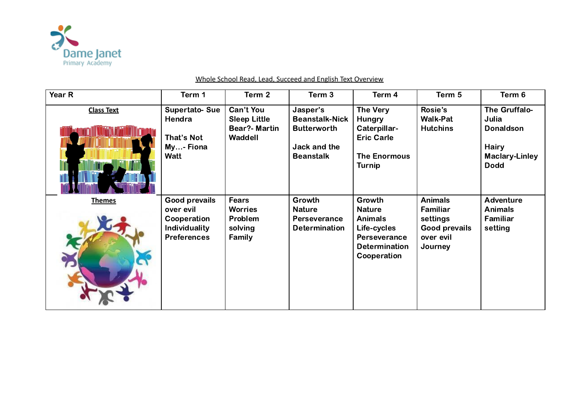

| Year R            | Term 1                                                                           | Term 2                                                              | Term 3                                                                                      | Term 4                                                                                                          | Term 5                                                                                 | Term 6                                                                                             |
|-------------------|----------------------------------------------------------------------------------|---------------------------------------------------------------------|---------------------------------------------------------------------------------------------|-----------------------------------------------------------------------------------------------------------------|----------------------------------------------------------------------------------------|----------------------------------------------------------------------------------------------------|
| <b>Class Text</b> | <b>Supertato-Sue</b><br>Hendra<br>That's Not<br>My- Fiona<br>Watt                | Can't You<br><b>Sleep Little</b><br><b>Bear?- Martin</b><br>Waddell | Jasper's<br><b>Beanstalk-Nick</b><br><b>Butterworth</b><br>Jack and the<br><b>Beanstalk</b> | The Very<br><b>Hungry</b><br>Caterpillar-<br><b>Eric Carle</b><br><b>The Enormous</b><br><b>Turnip</b>          | Rosie's<br><b>Walk-Pat</b><br><b>Hutchins</b>                                          | The Gruffalo-<br>Julia<br><b>Donaldson</b><br><b>Hairy</b><br><b>Maclary-Linley</b><br><b>Dodd</b> |
| <b>Themes</b>     | Good prevails<br>over evil<br>Cooperation<br>Individuality<br><b>Preferences</b> | <b>Fears</b><br><b>Worries</b><br>Problem<br>solving<br>Family      | Growth<br><b>Nature</b><br>Perseverance<br><b>Determination</b>                             | Growth<br><b>Nature</b><br><b>Animals</b><br>Life-cycles<br>Perseverance<br><b>Determination</b><br>Cooperation | <b>Animals</b><br>Familiar<br>settings<br><b>Good prevails</b><br>over evil<br>Journey | <b>Adventure</b><br><b>Animals</b><br>Familiar<br>setting                                          |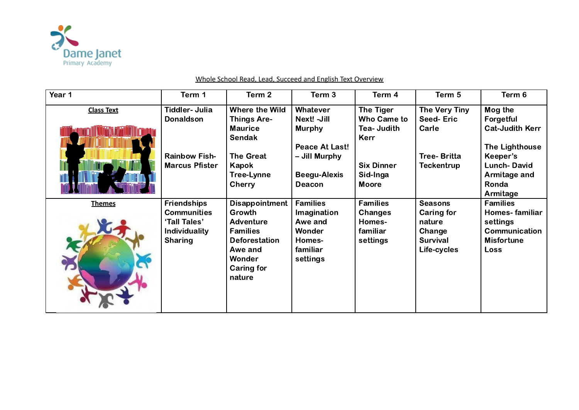

| Year 1            | Term 1                                                                                             | Term 2                                                                                                                                      | Term 3                                                                                | Term 4                                                       | Term 5                                                                             | Term 6                                                                                      |
|-------------------|----------------------------------------------------------------------------------------------------|---------------------------------------------------------------------------------------------------------------------------------------------|---------------------------------------------------------------------------------------|--------------------------------------------------------------|------------------------------------------------------------------------------------|---------------------------------------------------------------------------------------------|
| <b>Class Text</b> | Tiddler- Julia<br><b>Donaldson</b>                                                                 | Where the Wild<br><b>Things Are-</b><br><b>Maurice</b><br><b>Sendak</b>                                                                     | Whatever<br>Next! - Jill<br><b>Murphy</b><br><b>Peace At Last!</b>                    | The Tiger<br>Who Came to<br><b>Tea-Judith</b><br>Kerr        | The Very Tiny<br><b>Seed-Eric</b><br>Carle                                         | Mog the<br>Forgetful<br><b>Cat-Judith Kerr</b><br><b>The Lighthouse</b>                     |
|                   | <b>Rainbow Fish-</b><br><b>Marcus Pfister</b>                                                      | <b>The Great</b><br>Kapok<br><b>Tree-Lynne</b><br><b>Cherry</b>                                                                             | - Jill Murphy<br><b>Beegu-Alexis</b><br><b>Deacon</b>                                 | <b>Six Dinner</b><br>Sid-Inga<br><b>Moore</b>                | <b>Tree-Britta</b><br><b>Teckentrup</b>                                            | Keeper's<br><b>Lunch-David</b><br>Armitage and<br>Ronda<br>Armitage                         |
| <b>Themes</b>     | <b>Friendships</b><br><b>Communities</b><br>'Tall Tales'<br><b>Individuality</b><br><b>Sharing</b> | <b>Disappointment</b><br>Growth<br><b>Adventure</b><br><b>Families</b><br><b>Deforestation</b><br>Awe and<br>Wonder<br>Caring for<br>nature | <b>Families</b><br>Imagination<br>Awe and<br>Wonder<br>Homes-<br>familiar<br>settings | <b>Families</b><br>Changes<br>Homes-<br>familiar<br>settings | <b>Seasons</b><br><b>Caring for</b><br>nature<br>Change<br>Survival<br>Life-cycles | <b>Families</b><br>Homes-familiar<br>settings<br>Communication<br><b>Misfortune</b><br>Loss |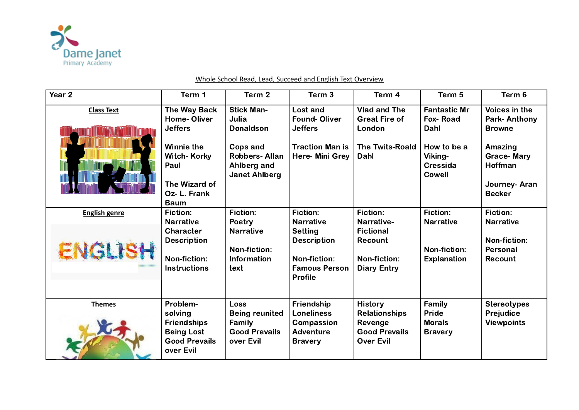

| Year <sub>2</sub>    | Term 1                                                                                                                                   | Term 2                                                                                                                    | Term <sub>3</sub>                                                                                                  | Term 4                                                                                        | Term 5                                                                                                              | Term 6                                                                                                                            |
|----------------------|------------------------------------------------------------------------------------------------------------------------------------------|---------------------------------------------------------------------------------------------------------------------------|--------------------------------------------------------------------------------------------------------------------|-----------------------------------------------------------------------------------------------|---------------------------------------------------------------------------------------------------------------------|-----------------------------------------------------------------------------------------------------------------------------------|
| <b>Class Text</b>    | The Way Back<br><b>Home-Oliver</b><br><b>Jeffers</b><br><b>Winnie the</b><br><b>Witch-Korky</b><br>Paul<br>The Wizard of<br>Oz- L. Frank | <b>Stick Man-</b><br>Julia<br><b>Donaldson</b><br>Cops and<br><b>Robbers-Allan</b><br>Ahlberg and<br><b>Janet Ahlberg</b> | <b>Lost and</b><br><b>Found-Oliver</b><br><b>Jeffers</b><br><b>Traction Man is</b><br>Here- Mini Grey              | <b>Vlad and The</b><br><b>Great Fire of</b><br>London<br><b>The Twits-Roald</b><br>Dahl       | <b>Fantastic Mr</b><br><b>Fox-Road</b><br>Dahl<br>How to be a<br><b>Viking-</b><br><b>Cressida</b><br><b>Cowell</b> | Voices in the<br><b>Park-Anthony</b><br><b>Browne</b><br>Amazing<br><b>Grace-Mary</b><br>Hoffman<br>Journey-Aran<br><b>Becker</b> |
| <b>English genre</b> | <b>Baum</b><br>Fiction:                                                                                                                  | <b>Fiction:</b>                                                                                                           | Fiction:                                                                                                           | <b>Fiction:</b>                                                                               | <b>Fiction:</b>                                                                                                     | Fiction:                                                                                                                          |
| ENGLISH              | <b>Narrative</b><br>Character<br><b>Description</b><br>Non-fiction:<br><b>Instructions</b>                                               | Poetry<br><b>Narrative</b><br>Non-fiction:<br><b>Information</b><br>text                                                  | <b>Narrative</b><br><b>Setting</b><br><b>Description</b><br>Non-fiction:<br><b>Famous Person</b><br><b>Profile</b> | Narrative-<br><b>Fictional</b><br>Recount<br>Non-fiction:<br><b>Diary Entry</b>               | <b>Narrative</b><br>Non-fiction:<br><b>Explanation</b>                                                              | <b>Narrative</b><br><b>Non-fiction:</b><br>Personal<br>Recount                                                                    |
| <b>Themes</b>        | Problem-<br>solving<br><b>Friendships</b><br><b>Being Lost</b><br><b>Good Prevails</b><br>over Evil                                      | <b>Loss</b><br><b>Being reunited</b><br>Family<br><b>Good Prevails</b><br>over Evil                                       | Friendship<br><b>Loneliness</b><br>Compassion<br>Adventure<br><b>Bravery</b>                                       | <b>History</b><br><b>Relationships</b><br>Revenge<br><b>Good Prevails</b><br><b>Over Evil</b> | Family<br>Pride<br><b>Morals</b><br><b>Bravery</b>                                                                  | <b>Stereotypes</b><br>Prejudice<br><b>Viewpoints</b>                                                                              |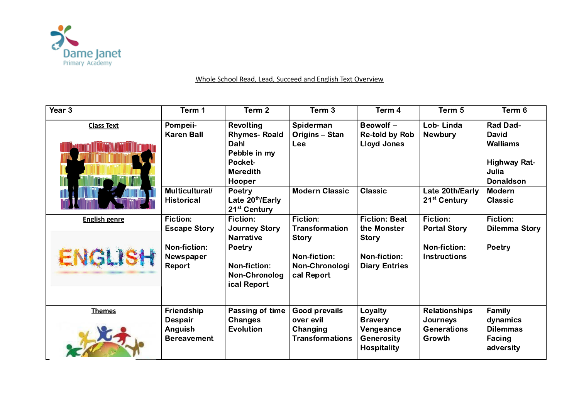

| Year 3                          | Term 1                                                                 | Term 2                                                                                                         | Term <sub>3</sub>                                                                                 | Term 4                                                                                      | Term 5                                                                 | Term 6                                                                                          |
|---------------------------------|------------------------------------------------------------------------|----------------------------------------------------------------------------------------------------------------|---------------------------------------------------------------------------------------------------|---------------------------------------------------------------------------------------------|------------------------------------------------------------------------|-------------------------------------------------------------------------------------------------|
| <b>Class Text</b>               | Pompeii-<br><b>Karen Ball</b>                                          | <b>Revolting</b><br><b>Rhymes-Roald</b><br>Dahl<br>Pebble in my<br>Pocket-<br><b>Meredith</b><br>Hooper        | Spiderman<br>Origins - Stan<br>Lee                                                                | Beowolf -<br><b>Re-told by Rob</b><br><b>Lloyd Jones</b>                                    | Lob-Linda<br><b>Newbury</b>                                            | Rad Dad-<br><b>David</b><br><b>Walliams</b><br><b>Highway Rat-</b><br>Julia<br><b>Donaldson</b> |
|                                 | Multicultural/<br><b>Historical</b>                                    | Poetry<br>Late 20th/Early<br>21 <sup>st</sup> Century                                                          | <b>Modern Classic</b>                                                                             | <b>Classic</b>                                                                              | Late 20th/Early<br>21 <sup>st</sup> Century                            | <b>Modern</b><br><b>Classic</b>                                                                 |
| <b>English genre</b><br>ENGLISH | Fiction:<br><b>Escape Story</b><br>Non-fiction:<br>Newspaper<br>Report | Fiction:<br><b>Journey Story</b><br><b>Narrative</b><br>Poetry<br>Non-fiction:<br>Non-Chronolog<br>ical Report | Fiction:<br><b>Transformation</b><br><b>Story</b><br>Non-fiction:<br>Non-Chronologi<br>cal Report | <b>Fiction: Beat</b><br>the Monster<br><b>Story</b><br>Non-fiction:<br><b>Diary Entries</b> | Fiction:<br><b>Portal Story</b><br>Non-fiction:<br><b>Instructions</b> | <b>Fiction:</b><br><b>Dilemma Story</b><br>Poetry                                               |
| <b>Themes</b>                   | Friendship<br><b>Despair</b><br>Anguish<br><b>Bereavement</b>          | Passing of time<br><b>Changes</b><br>Evolution                                                                 | <b>Good prevails</b><br>over evil<br>Changing<br><b>Transformations</b>                           | Loyalty<br><b>Bravery</b><br>Vengeance<br><b>Generosity</b><br><b>Hospitality</b>           | <b>Relationships</b><br>Journeys<br><b>Generations</b><br>Growth       | Family<br>dynamics<br><b>Dilemmas</b><br>Facing<br>adversity                                    |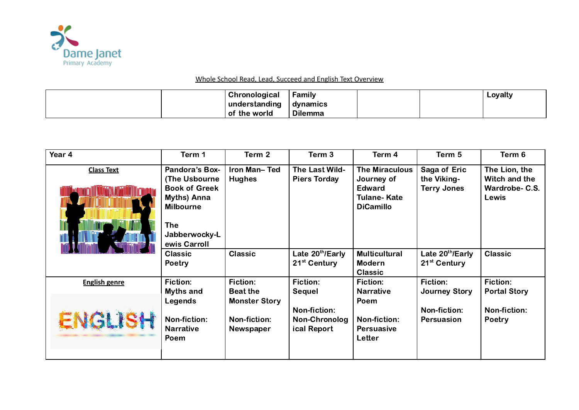

|  | Chronological | Family         |  | Loyalty |
|--|---------------|----------------|--|---------|
|  | understanding | dynamics       |  |         |
|  | of the world  | <b>Dilemma</b> |  |         |

| Year 4               | Term 1                                                                                                                                                 | Term 2                                                   | Term 3                                       | Term 4                                                                                         | Term 5                                            | Term 6                                                    |
|----------------------|--------------------------------------------------------------------------------------------------------------------------------------------------------|----------------------------------------------------------|----------------------------------------------|------------------------------------------------------------------------------------------------|---------------------------------------------------|-----------------------------------------------------------|
| <b>Class Text</b>    | <b>Pandora's Box-</b><br><b>The Usbourne</b><br><b>Book of Greek</b><br>Myths) Anna<br><b>Milbourne</b><br><b>The</b><br>Jabberwocky-L<br>ewis Carroll | Iron Man-Ted<br><b>Hughes</b>                            | The Last Wild-<br><b>Piers Torday</b>        | <b>The Miraculous</b><br>Journey of<br><b>Edward</b><br><b>Tulane-Kate</b><br><b>DiCamillo</b> | Saga of Eric<br>the Viking-<br><b>Terry Jones</b> | The Lion, the<br>Witch and the<br>Wardrobe- C.S.<br>Lewis |
|                      | <b>Classic</b><br><b>Poetry</b>                                                                                                                        | <b>Classic</b>                                           | Late 20th/Early<br>21 <sup>st</sup> Century  | <b>Multicultural</b><br><b>Modern</b><br><b>Classic</b>                                        | Late 20th/Early<br>21 <sup>st</sup> Century       | <b>Classic</b>                                            |
| <b>English genre</b> | <b>Fiction:</b><br>Myths and                                                                                                                           | <b>Fiction:</b><br><b>Beat the</b>                       | <b>Fiction:</b><br><b>Sequel</b>             | Fiction:<br><b>Narrative</b>                                                                   | Fiction:<br><b>Journey Story</b>                  | <b>Fiction:</b><br><b>Portal Story</b>                    |
| ENGLISH              | Legends<br>Non-fiction:<br><b>Narrative</b><br>Poem                                                                                                    | <b>Monster Story</b><br>Non-fiction:<br><b>Newspaper</b> | Non-fiction:<br>Non-Chronolog<br>ical Report | Poem<br><b>Non-fiction:</b><br><b>Persuasive</b><br>Letter                                     | <b>Non-fiction:</b><br>Persuasion                 | <b>Non-fiction:</b><br>Poetry                             |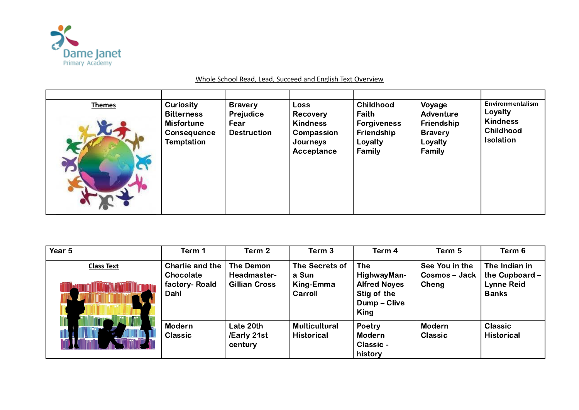

| <b>Curiosity</b><br><b>Childhood</b><br>Voyage<br><b>Bravery</b><br><b>Loss</b><br><b>Themes</b><br>Loyalty<br>Prejudice<br>Faith<br><b>Adventure</b><br><b>Bitterness</b><br>Recovery<br><b>Kindness</b><br>Friendship<br><b>Misfortune</b><br><b>Kindness</b><br>Fear<br><b>Forgiveness</b><br><b>Childhood</b><br>Friendship<br><b>Destruction</b><br>Compassion<br><b>Bravery</b><br><b>Consequence</b><br><b>Isolation</b><br>Temptation<br>Loyalty<br>Loyalty<br>Journeys<br>Family<br>Family<br>Acceptance |  |  |  |  |  |  | Environmentalism |
|-------------------------------------------------------------------------------------------------------------------------------------------------------------------------------------------------------------------------------------------------------------------------------------------------------------------------------------------------------------------------------------------------------------------------------------------------------------------------------------------------------------------|--|--|--|--|--|--|------------------|
|-------------------------------------------------------------------------------------------------------------------------------------------------------------------------------------------------------------------------------------------------------------------------------------------------------------------------------------------------------------------------------------------------------------------------------------------------------------------------------------------------------------------|--|--|--|--|--|--|------------------|

| Year 5            | Term 1                                                | Term 2                                           | Term 3                                          | Term 4                                                                                  | Term 5                                          | Term 6                                                                 |
|-------------------|-------------------------------------------------------|--------------------------------------------------|-------------------------------------------------|-----------------------------------------------------------------------------------------|-------------------------------------------------|------------------------------------------------------------------------|
| <b>Class Text</b> | Charlie and the<br>Chocolate<br>factory-Roald<br>Dahl | The Demon<br>Headmaster-<br><b>Gillian Cross</b> | The Secrets of<br>a Sun<br>King-Emma<br>Carroll | <b>The</b><br>HighwayMan-<br><b>Alfred Noyes</b><br>Stig of the<br>Dump - Clive<br>King | See You in the<br><b>Cosmos – Jack</b><br>Cheng | The Indian in<br>the Cupboard $-$<br><b>Lynne Reid</b><br><b>Banks</b> |
|                   | <b>Modern</b><br><b>Classic</b>                       | Late 20th<br>/Early 21st<br>century              | <b>Multicultural</b><br><b>Historical</b>       | Poetry<br><b>Modern</b><br>Classic -<br>history                                         | <b>Modern</b><br><b>Classic</b>                 | <b>Classic</b><br><b>Historical</b>                                    |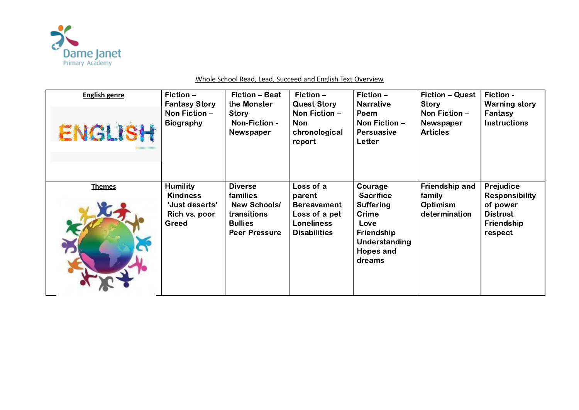

| <b>English genre</b><br><b>ENGLISH</b> | Fiction $-$<br><b>Fantasy Story</b><br>Non Fiction $-$<br><b>Biography</b> | <b>Fiction - Beat</b><br>the Monster<br>Story<br>Non-Fiction -<br>Newspaper                     | $Fiction -$<br><b>Quest Story</b><br>Non Fiction -<br><b>Non</b><br>chronological<br>report | Fiction $-$<br><b>Narrative</b><br>Poem<br>Non Fiction $-$<br><b>Persuasive</b><br>Letter                                 | <b>Fiction - Quest</b><br>Story<br>Non Fiction -<br>Newspaper<br><b>Articles</b> | Fiction -<br><b>Warning story</b><br>Fantasy<br><b>Instructions</b>           |
|----------------------------------------|----------------------------------------------------------------------------|-------------------------------------------------------------------------------------------------|---------------------------------------------------------------------------------------------|---------------------------------------------------------------------------------------------------------------------------|----------------------------------------------------------------------------------|-------------------------------------------------------------------------------|
| <b>Themes</b>                          | <b>Humility</b>                                                            | <b>Diverse</b>                                                                                  | Loss of a                                                                                   | Courage                                                                                                                   | Friendship and                                                                   | Prejudice                                                                     |
|                                        | <b>Kindness</b><br>'Just deserts'<br>Rich vs. poor<br>Greed                | <b>families</b><br><b>New Schools/</b><br>transitions<br><b>Bullies</b><br><b>Peer Pressure</b> | parent<br><b>Bereavement</b><br>Loss of a pet<br><b>Loneliness</b><br><b>Disabilities</b>   | <b>Sacrifice</b><br><b>Suffering</b><br><b>Crime</b><br>Love<br><b>Friendship</b><br>Understanding<br>Hopes and<br>dreams | family<br><b>Optimism</b><br>determination                                       | <b>Responsibility</b><br>of power<br><b>Distrust</b><br>Friendship<br>respect |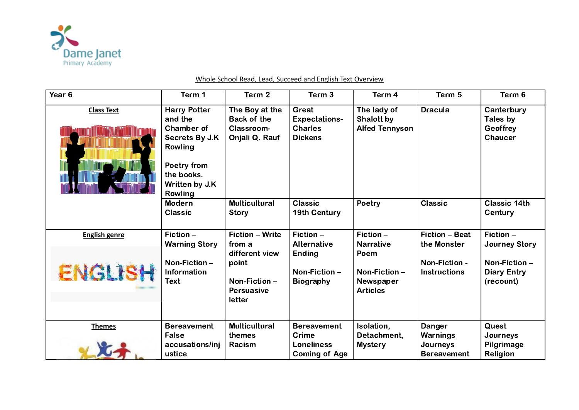

#### Year 6 Term 1 Term 2 Term 3 Term 4 Term 5 Term 6 **Class Text** Harry Potter The Boy at the Great The lady of Dracula | Canterbury and the Back of the Expectations-Shalott by Tales by Chamber of Classroom-**Charles** Alfed Tennyson **Geoffrey** Secrets By J.K Onjali Q. Rauf **Dickens Chaucer** Rowling Poetry from the books. Written by J.K Rowling **Classic** Poetry Classic Classic 14th Modern **Multicultural** Classic **Story** 19th Century **Century English genre** Fiction – Fiction – Write Fiction – Fiction – Fiction – Beat Fiction – Alternative Warning Story from a Narrative the Monster Journey Story different view Ending Poem Non-Fiction – Non-Fiction – point Non-Fiction - ENGLI Information Diary Entry Non-Fiction – Non-Fiction – **Instructions** Text Biography Non-Fiction – Newspaper (recount) Persuasive Articles letter Themes **Bereavement Multicultural** Isolation, **Quest Bereavement** Danger Detachment, Journeys False themes Crime Warnings accusations/inj Loneliness **Mystery** Journeys Pilgrimage Racism ustice Coming of Age ReligionBereavement